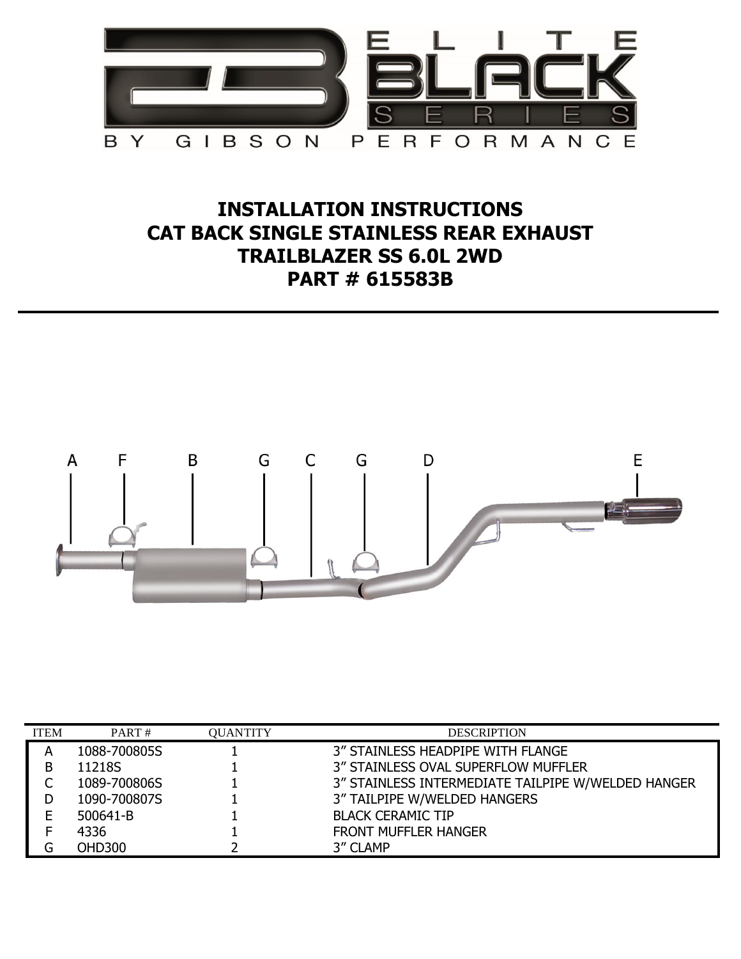

## **INSTALLATION INSTRUCTIONS CAT BACK SINGLE STAINLESS REAR EXHAUST TRAILBLAZER SS 6.0L 2WD PART # 615583B**



| <b>ITEM</b> | PART#         | <b>QUANTITY</b> | <b>DESCRIPTION</b>                                 |
|-------------|---------------|-----------------|----------------------------------------------------|
| А           | 1088-700805S  |                 | 3" STAINLESS HEADPIPE WITH FLANGE                  |
| в           | 11218S        |                 | 3" STAINLESS OVAL SUPERFLOW MUFFLER                |
|             | 1089-700806S  |                 | 3" STAINLESS INTERMEDIATE TAILPIPE W/WELDED HANGER |
|             | 1090-700807S  |                 | 3" TAILPIPE W/WELDED HANGERS                       |
| E           | 500641-B      |                 | <b>BLACK CERAMIC TIP</b>                           |
|             | 4336          |                 | <b>FRONT MUFFLER HANGER</b>                        |
|             | <b>OHD300</b> |                 | 3" CLAMP                                           |